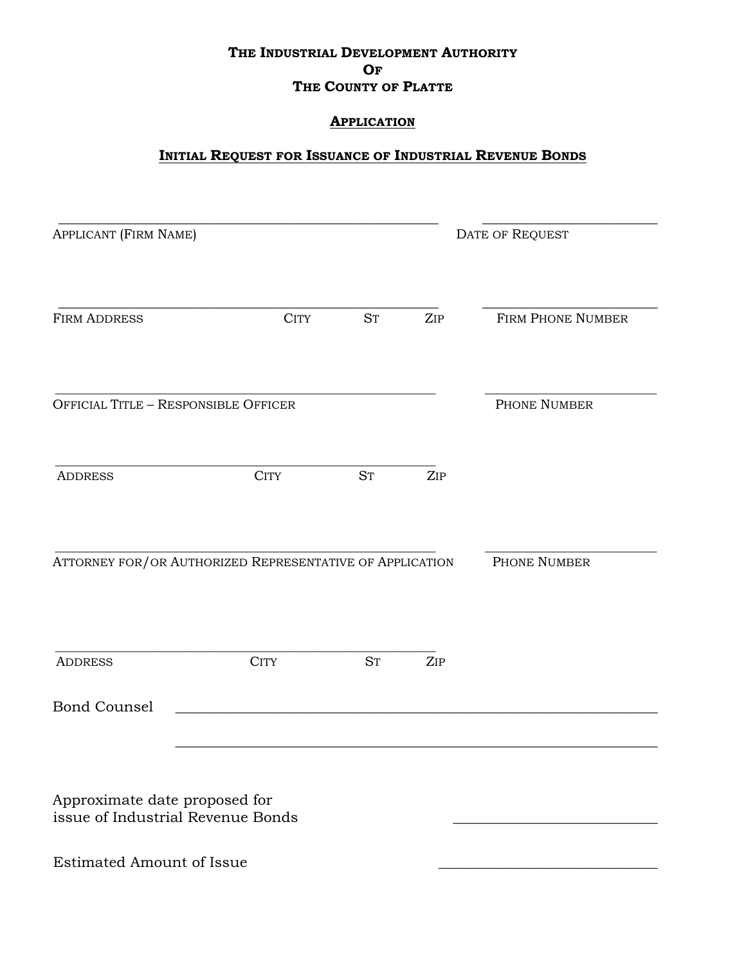# **THE INDUSTRIAL DEVELOPMENT AUTHORITY OF THE COUNTY OF PLATTE**

# **APPLICATION**

## **INITIAL REQUEST FOR ISSUANCE OF INDUSTRIAL REVENUE BONDS**

| APPLICANT (FIRM NAME)                                                      |             | DATE OF REQUEST |     |                   |
|----------------------------------------------------------------------------|-------------|-----------------|-----|-------------------|
| <b>FIRM ADDRESS</b>                                                        | <b>CITY</b> | <b>ST</b>       | ZIP | FIRM PHONE NUMBER |
| <b>OFFICIAL TITLE - RESPONSIBLE OFFICER</b>                                |             |                 |     | PHONE NUMBER      |
| <b>ADDRESS</b>                                                             | <b>CITY</b> | <b>ST</b>       | ZIP |                   |
|                                                                            |             |                 |     |                   |
|                                                                            |             |                 |     | PHONE NUMBER      |
| ATTORNEY FOR/OR AUTHORIZED REPRESENTATIVE OF APPLICATION<br><b>ADDRESS</b> | <b>CITY</b> | <b>ST</b>       | ZIP |                   |
| <b>Bond Counsel</b>                                                        |             |                 |     |                   |
| Approximate date proposed for<br>issue of Industrial Revenue Bonds         |             |                 |     |                   |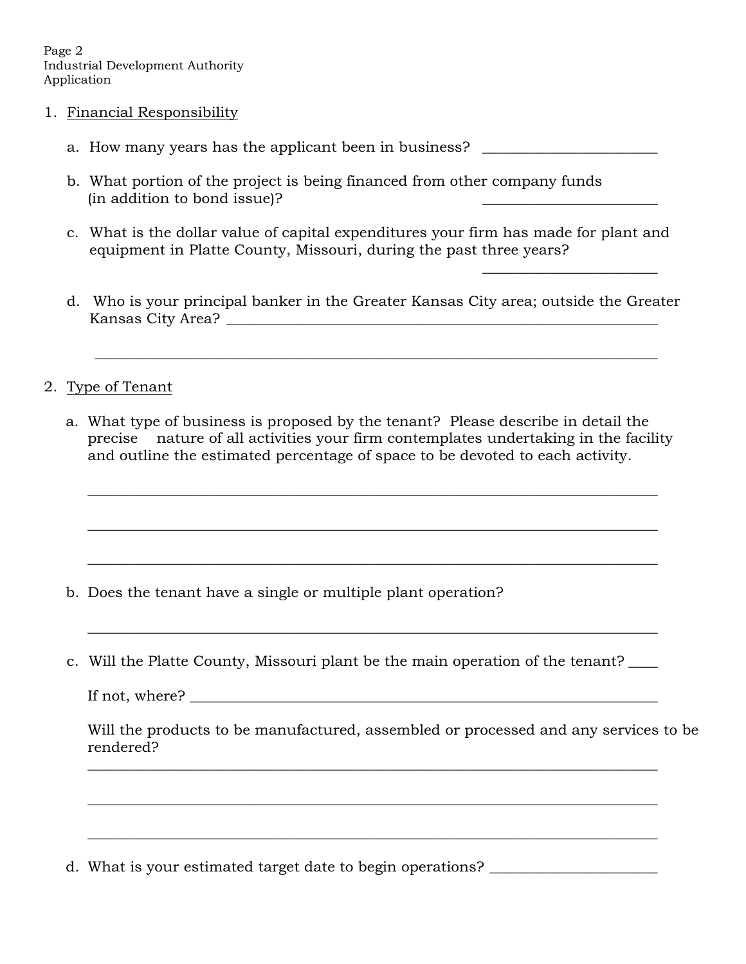Page 2 Industrial Development Authority Application

- 1. Financial Responsibility
	- a. How many years has the applicant been in business?
	- b. What portion of the project is being financed from other company funds (in addition to bond issue)?
	- c. What is the dollar value of capital expenditures your firm has made for plant and equipment in Platte County, Missouri, during the past three years?

 $\mathcal{L}_\text{max}$  and  $\mathcal{L}_\text{max}$  and  $\mathcal{L}_\text{max}$  and  $\mathcal{L}_\text{max}$  and  $\mathcal{L}_\text{max}$  and  $\mathcal{L}_\text{max}$ 

 $\frac{1}{2}$  ,  $\frac{1}{2}$  ,  $\frac{1}{2}$  ,  $\frac{1}{2}$  ,  $\frac{1}{2}$  ,  $\frac{1}{2}$  ,  $\frac{1}{2}$  ,  $\frac{1}{2}$  ,  $\frac{1}{2}$  ,  $\frac{1}{2}$  ,  $\frac{1}{2}$  ,  $\frac{1}{2}$  ,  $\frac{1}{2}$  ,  $\frac{1}{2}$  ,  $\frac{1}{2}$  ,  $\frac{1}{2}$  ,  $\frac{1}{2}$  ,  $\frac{1}{2}$  ,  $\frac{1$ 

 $\mathcal{L}_\text{max} = \frac{1}{2} \sum_{i=1}^{n} \frac{1}{2} \sum_{i=1}^{n} \frac{1}{2} \sum_{i=1}^{n} \frac{1}{2} \sum_{i=1}^{n} \frac{1}{2} \sum_{i=1}^{n} \frac{1}{2} \sum_{i=1}^{n} \frac{1}{2} \sum_{i=1}^{n} \frac{1}{2} \sum_{i=1}^{n} \frac{1}{2} \sum_{i=1}^{n} \frac{1}{2} \sum_{i=1}^{n} \frac{1}{2} \sum_{i=1}^{n} \frac{1}{2} \sum_{i=1}^{n} \frac{1$ 

 $\mathcal{L}_\text{max} = \frac{1}{2} \sum_{i=1}^{n} \frac{1}{2} \sum_{i=1}^{n} \frac{1}{2} \sum_{i=1}^{n} \frac{1}{2} \sum_{i=1}^{n} \frac{1}{2} \sum_{i=1}^{n} \frac{1}{2} \sum_{i=1}^{n} \frac{1}{2} \sum_{i=1}^{n} \frac{1}{2} \sum_{i=1}^{n} \frac{1}{2} \sum_{i=1}^{n} \frac{1}{2} \sum_{i=1}^{n} \frac{1}{2} \sum_{i=1}^{n} \frac{1}{2} \sum_{i=1}^{n} \frac{1$ 

 $\mathcal{L}_\text{max} = \frac{1}{2} \sum_{i=1}^{n} \frac{1}{2} \sum_{i=1}^{n} \frac{1}{2} \sum_{i=1}^{n} \frac{1}{2} \sum_{i=1}^{n} \frac{1}{2} \sum_{i=1}^{n} \frac{1}{2} \sum_{i=1}^{n} \frac{1}{2} \sum_{i=1}^{n} \frac{1}{2} \sum_{i=1}^{n} \frac{1}{2} \sum_{i=1}^{n} \frac{1}{2} \sum_{i=1}^{n} \frac{1}{2} \sum_{i=1}^{n} \frac{1}{2} \sum_{i=1}^{n} \frac{1$ 

d. Who is your principal banker in the Greater Kansas City area; outside the Greater Kansas City Area?

#### 2. Type of Tenant

a. What type of business is proposed by the tenant? Please describe in detail the precise nature of all activities your firm contemplates undertaking in the facility and outline the estimated percentage of space to be devoted to each activity.

- b. Does the tenant have a single or multiple plant operation?
- c. Will the Platte County, Missouri plant be the main operation of the tenant? \_\_\_\_

 $\frac{1}{2}$  ,  $\frac{1}{2}$  ,  $\frac{1}{2}$  ,  $\frac{1}{2}$  ,  $\frac{1}{2}$  ,  $\frac{1}{2}$  ,  $\frac{1}{2}$  ,  $\frac{1}{2}$  ,  $\frac{1}{2}$  ,  $\frac{1}{2}$  ,  $\frac{1}{2}$  ,  $\frac{1}{2}$  ,  $\frac{1}{2}$  ,  $\frac{1}{2}$  ,  $\frac{1}{2}$  ,  $\frac{1}{2}$  ,  $\frac{1}{2}$  ,  $\frac{1}{2}$  ,  $\frac{1$ 

 $\frac{1}{\sqrt{2}}$  ,  $\frac{1}{\sqrt{2}}$  ,  $\frac{1}{\sqrt{2}}$  ,  $\frac{1}{\sqrt{2}}$  ,  $\frac{1}{\sqrt{2}}$  ,  $\frac{1}{\sqrt{2}}$  ,  $\frac{1}{\sqrt{2}}$  ,  $\frac{1}{\sqrt{2}}$  ,  $\frac{1}{\sqrt{2}}$  ,  $\frac{1}{\sqrt{2}}$  ,  $\frac{1}{\sqrt{2}}$  ,  $\frac{1}{\sqrt{2}}$  ,  $\frac{1}{\sqrt{2}}$  ,  $\frac{1}{\sqrt{2}}$  ,  $\frac{1}{\sqrt{2}}$ 

 $\frac{1}{\sqrt{2}}$  ,  $\frac{1}{\sqrt{2}}$  ,  $\frac{1}{\sqrt{2}}$  ,  $\frac{1}{\sqrt{2}}$  ,  $\frac{1}{\sqrt{2}}$  ,  $\frac{1}{\sqrt{2}}$  ,  $\frac{1}{\sqrt{2}}$  ,  $\frac{1}{\sqrt{2}}$  ,  $\frac{1}{\sqrt{2}}$  ,  $\frac{1}{\sqrt{2}}$  ,  $\frac{1}{\sqrt{2}}$  ,  $\frac{1}{\sqrt{2}}$  ,  $\frac{1}{\sqrt{2}}$  ,  $\frac{1}{\sqrt{2}}$  ,  $\frac{1}{\sqrt{2}}$ 

 $\frac{1}{\sqrt{2}}$  ,  $\frac{1}{\sqrt{2}}$  ,  $\frac{1}{\sqrt{2}}$  ,  $\frac{1}{\sqrt{2}}$  ,  $\frac{1}{\sqrt{2}}$  ,  $\frac{1}{\sqrt{2}}$  ,  $\frac{1}{\sqrt{2}}$  ,  $\frac{1}{\sqrt{2}}$  ,  $\frac{1}{\sqrt{2}}$  ,  $\frac{1}{\sqrt{2}}$  ,  $\frac{1}{\sqrt{2}}$  ,  $\frac{1}{\sqrt{2}}$  ,  $\frac{1}{\sqrt{2}}$  ,  $\frac{1}{\sqrt{2}}$  ,  $\frac{1}{\sqrt{2}}$ 

If not, where?

 Will the products to be manufactured, assembled or processed and any services to be rendered?

d. What is your estimated target date to begin operations? \_\_\_\_\_\_\_\_\_\_\_\_\_\_\_\_\_\_\_\_\_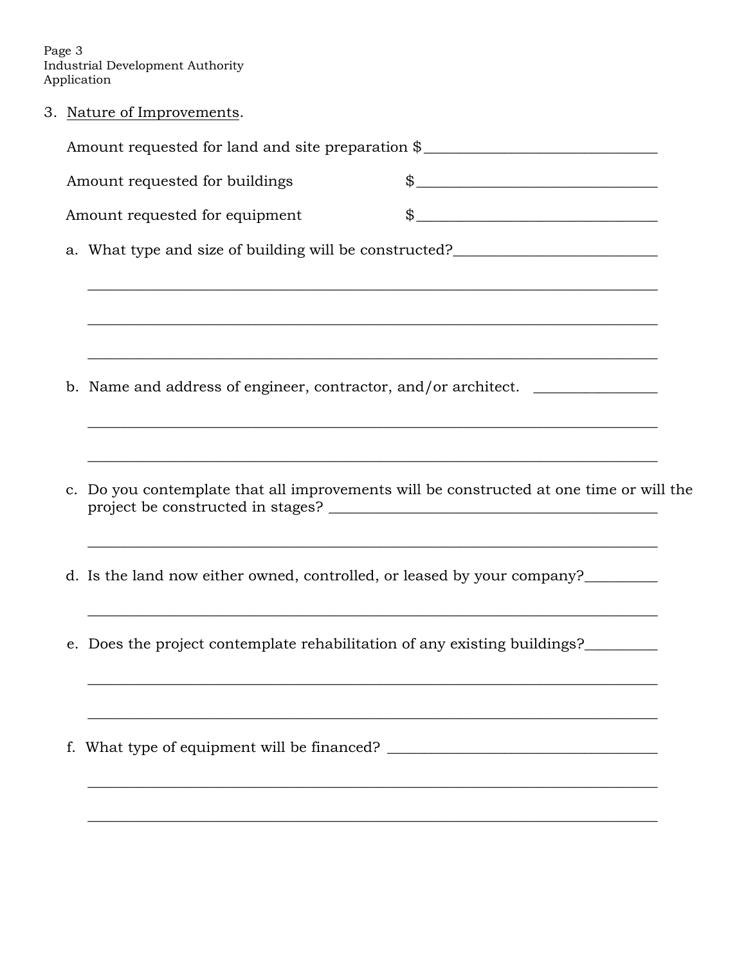Page 3 Industrial Development Authority Application

3. Nature of Improvements.

| Amount requested for land and site preparation \$ |                                                                                         |                                                                                                                        |  |  |  |  |  |
|---------------------------------------------------|-----------------------------------------------------------------------------------------|------------------------------------------------------------------------------------------------------------------------|--|--|--|--|--|
|                                                   | Amount requested for buildings                                                          | $\frac{1}{2}$                                                                                                          |  |  |  |  |  |
|                                                   | Amount requested for equipment                                                          | $\frac{1}{2}$                                                                                                          |  |  |  |  |  |
|                                                   | a. What type and size of building will be constructed?__________________________        |                                                                                                                        |  |  |  |  |  |
|                                                   |                                                                                         | <u> 1989 - Johann Stoff, amerikansk politiker (d. 1989)</u>                                                            |  |  |  |  |  |
|                                                   |                                                                                         | <u> 1989 - Johann John Stone, Amerikaansk politiker (d. 1989)</u>                                                      |  |  |  |  |  |
|                                                   |                                                                                         |                                                                                                                        |  |  |  |  |  |
|                                                   | b. Name and address of engineer, contractor, and/or architect. _________________        |                                                                                                                        |  |  |  |  |  |
|                                                   |                                                                                         | <u> 1989 - Johann John Stoff, deutscher Stoff, der Stoff, der Stoff, der Stoff, der Stoff, der Stoff, der Stoff, d</u> |  |  |  |  |  |
|                                                   |                                                                                         |                                                                                                                        |  |  |  |  |  |
|                                                   | c. Do you contemplate that all improvements will be constructed at one time or will the |                                                                                                                        |  |  |  |  |  |
|                                                   |                                                                                         |                                                                                                                        |  |  |  |  |  |
|                                                   | d. Is the land now either owned, controlled, or leased by your company?_________        |                                                                                                                        |  |  |  |  |  |
|                                                   |                                                                                         |                                                                                                                        |  |  |  |  |  |
|                                                   | e. Does the project contemplate rehabilitation of any existing buildings?               |                                                                                                                        |  |  |  |  |  |
|                                                   |                                                                                         |                                                                                                                        |  |  |  |  |  |
|                                                   |                                                                                         |                                                                                                                        |  |  |  |  |  |
|                                                   |                                                                                         |                                                                                                                        |  |  |  |  |  |
|                                                   |                                                                                         |                                                                                                                        |  |  |  |  |  |
|                                                   |                                                                                         |                                                                                                                        |  |  |  |  |  |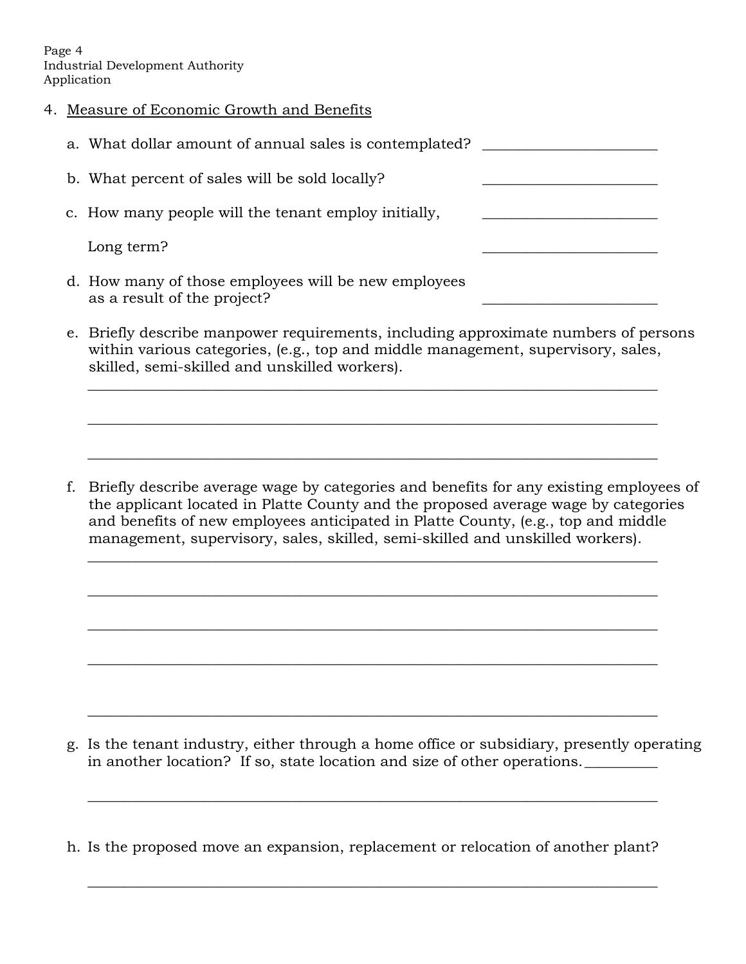Page 4 Industrial Development Authority Application

4. Measure of Economic Growth and Benefits

| a. What dollar amount of annual sales is contemplated?                              |  |
|-------------------------------------------------------------------------------------|--|
| b. What percent of sales will be sold locally?                                      |  |
| c. How many people will the tenant employ initially,                                |  |
| Long term?                                                                          |  |
| d. How many of those employees will be new employees<br>as a result of the project? |  |

e. Briefly describe manpower requirements, including approximate numbers of persons within various categories, (e.g., top and middle management, supervisory, sales, skilled, semi-skilled and unskilled workers).

 $\mathcal{L}_\text{max} = \frac{1}{2} \sum_{i=1}^{n} \frac{1}{2} \sum_{i=1}^{n} \frac{1}{2} \sum_{i=1}^{n} \frac{1}{2} \sum_{i=1}^{n} \frac{1}{2} \sum_{i=1}^{n} \frac{1}{2} \sum_{i=1}^{n} \frac{1}{2} \sum_{i=1}^{n} \frac{1}{2} \sum_{i=1}^{n} \frac{1}{2} \sum_{i=1}^{n} \frac{1}{2} \sum_{i=1}^{n} \frac{1}{2} \sum_{i=1}^{n} \frac{1}{2} \sum_{i=1}^{n} \frac{1$ 

 $\mathcal{L}_\text{max} = \frac{1}{2} \sum_{i=1}^{n} \frac{1}{2} \sum_{i=1}^{n} \frac{1}{2} \sum_{i=1}^{n} \frac{1}{2} \sum_{i=1}^{n} \frac{1}{2} \sum_{i=1}^{n} \frac{1}{2} \sum_{i=1}^{n} \frac{1}{2} \sum_{i=1}^{n} \frac{1}{2} \sum_{i=1}^{n} \frac{1}{2} \sum_{i=1}^{n} \frac{1}{2} \sum_{i=1}^{n} \frac{1}{2} \sum_{i=1}^{n} \frac{1}{2} \sum_{i=1}^{n} \frac{1$ 

 $\mathcal{L}_\mathcal{L} = \mathcal{L}_\mathcal{L} = \mathcal{L}_\mathcal{L} = \mathcal{L}_\mathcal{L} = \mathcal{L}_\mathcal{L} = \mathcal{L}_\mathcal{L} = \mathcal{L}_\mathcal{L} = \mathcal{L}_\mathcal{L} = \mathcal{L}_\mathcal{L} = \mathcal{L}_\mathcal{L} = \mathcal{L}_\mathcal{L} = \mathcal{L}_\mathcal{L} = \mathcal{L}_\mathcal{L} = \mathcal{L}_\mathcal{L} = \mathcal{L}_\mathcal{L} = \mathcal{L}_\mathcal{L} = \mathcal{L}_\mathcal{L}$ 

 $\mathcal{L}_\text{max} = \frac{1}{2} \sum_{i=1}^{n} \frac{1}{2} \sum_{i=1}^{n} \frac{1}{2} \sum_{i=1}^{n} \frac{1}{2} \sum_{i=1}^{n} \frac{1}{2} \sum_{i=1}^{n} \frac{1}{2} \sum_{i=1}^{n} \frac{1}{2} \sum_{i=1}^{n} \frac{1}{2} \sum_{i=1}^{n} \frac{1}{2} \sum_{i=1}^{n} \frac{1}{2} \sum_{i=1}^{n} \frac{1}{2} \sum_{i=1}^{n} \frac{1}{2} \sum_{i=1}^{n} \frac{1$ 

 $\mathcal{L}_\text{max} = \frac{1}{2} \sum_{i=1}^{n} \frac{1}{2} \sum_{i=1}^{n} \frac{1}{2} \sum_{i=1}^{n} \frac{1}{2} \sum_{i=1}^{n} \frac{1}{2} \sum_{i=1}^{n} \frac{1}{2} \sum_{i=1}^{n} \frac{1}{2} \sum_{i=1}^{n} \frac{1}{2} \sum_{i=1}^{n} \frac{1}{2} \sum_{i=1}^{n} \frac{1}{2} \sum_{i=1}^{n} \frac{1}{2} \sum_{i=1}^{n} \frac{1}{2} \sum_{i=1}^{n} \frac{1$ 

 $\mathcal{L}_\text{max} = \frac{1}{2} \sum_{i=1}^{n} \frac{1}{2} \sum_{i=1}^{n} \frac{1}{2} \sum_{i=1}^{n} \frac{1}{2} \sum_{i=1}^{n} \frac{1}{2} \sum_{i=1}^{n} \frac{1}{2} \sum_{i=1}^{n} \frac{1}{2} \sum_{i=1}^{n} \frac{1}{2} \sum_{i=1}^{n} \frac{1}{2} \sum_{i=1}^{n} \frac{1}{2} \sum_{i=1}^{n} \frac{1}{2} \sum_{i=1}^{n} \frac{1}{2} \sum_{i=1}^{n} \frac{1$ 

 $\mathcal{L}_\text{max} = \frac{1}{2} \sum_{i=1}^{n} \frac{1}{2} \sum_{i=1}^{n} \frac{1}{2} \sum_{i=1}^{n} \frac{1}{2} \sum_{i=1}^{n} \frac{1}{2} \sum_{i=1}^{n} \frac{1}{2} \sum_{i=1}^{n} \frac{1}{2} \sum_{i=1}^{n} \frac{1}{2} \sum_{i=1}^{n} \frac{1}{2} \sum_{i=1}^{n} \frac{1}{2} \sum_{i=1}^{n} \frac{1}{2} \sum_{i=1}^{n} \frac{1}{2} \sum_{i=1}^{n} \frac{1$ 

 $\mathcal{L}_\text{max} = \frac{1}{2} \sum_{i=1}^{n} \frac{1}{2} \sum_{i=1}^{n} \frac{1}{2} \sum_{i=1}^{n} \frac{1}{2} \sum_{i=1}^{n} \frac{1}{2} \sum_{i=1}^{n} \frac{1}{2} \sum_{i=1}^{n} \frac{1}{2} \sum_{i=1}^{n} \frac{1}{2} \sum_{i=1}^{n} \frac{1}{2} \sum_{i=1}^{n} \frac{1}{2} \sum_{i=1}^{n} \frac{1}{2} \sum_{i=1}^{n} \frac{1}{2} \sum_{i=1}^{n} \frac{1$ 

 $\mathcal{L}_\text{max} = \frac{1}{2} \sum_{i=1}^{n} \frac{1}{2} \sum_{i=1}^{n} \frac{1}{2} \sum_{i=1}^{n} \frac{1}{2} \sum_{i=1}^{n} \frac{1}{2} \sum_{i=1}^{n} \frac{1}{2} \sum_{i=1}^{n} \frac{1}{2} \sum_{i=1}^{n} \frac{1}{2} \sum_{i=1}^{n} \frac{1}{2} \sum_{i=1}^{n} \frac{1}{2} \sum_{i=1}^{n} \frac{1}{2} \sum_{i=1}^{n} \frac{1}{2} \sum_{i=1}^{n} \frac{1$ 

 $\mathcal{L}_\mathcal{L} = \mathcal{L}_\mathcal{L} = \mathcal{L}_\mathcal{L} = \mathcal{L}_\mathcal{L} = \mathcal{L}_\mathcal{L} = \mathcal{L}_\mathcal{L} = \mathcal{L}_\mathcal{L} = \mathcal{L}_\mathcal{L} = \mathcal{L}_\mathcal{L} = \mathcal{L}_\mathcal{L} = \mathcal{L}_\mathcal{L} = \mathcal{L}_\mathcal{L} = \mathcal{L}_\mathcal{L} = \mathcal{L}_\mathcal{L} = \mathcal{L}_\mathcal{L} = \mathcal{L}_\mathcal{L} = \mathcal{L}_\mathcal{L}$ 

f. Briefly describe average wage by categories and benefits for any existing employees of the applicant located in Platte County and the proposed average wage by categories and benefits of new employees anticipated in Platte County, (e.g., top and middle management, supervisory, sales, skilled, semi-skilled and unskilled workers).

- g. Is the tenant industry, either through a home office or subsidiary, presently operating in another location? If so, state location and size of other operations.
- h. Is the proposed move an expansion, replacement or relocation of another plant?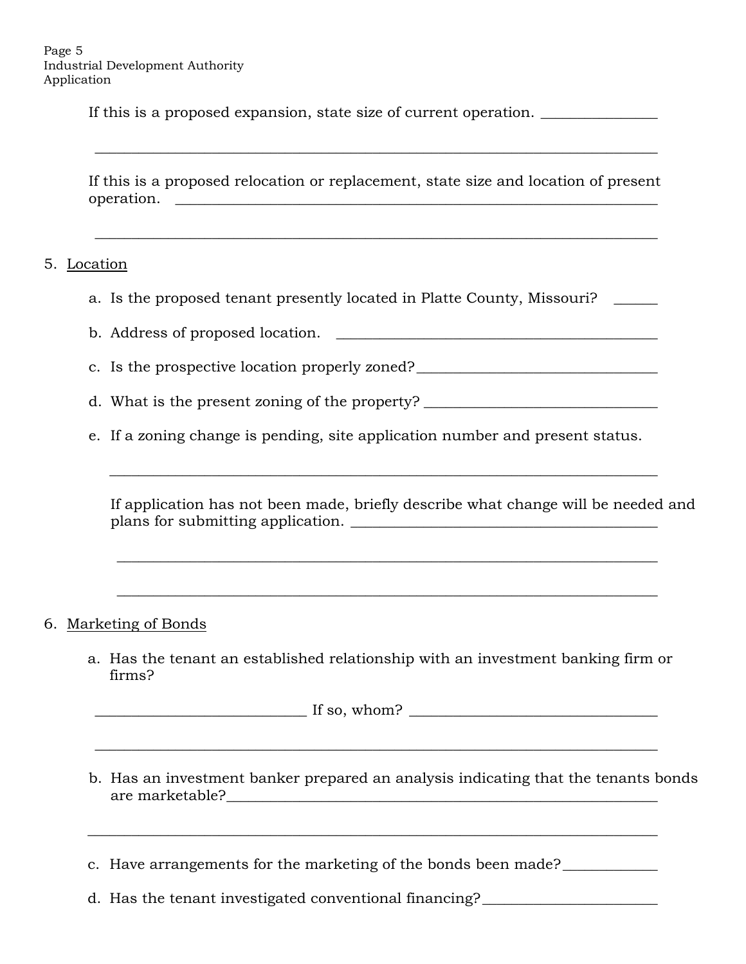If this is a proposed expansion, state size of current operation.

If this is a proposed relocation or replacement, state size and location of present operation.

\_\_\_\_\_\_\_\_\_\_\_\_\_\_\_\_\_\_\_\_\_\_\_\_\_\_\_\_\_\_\_\_\_\_\_\_\_\_\_\_\_\_\_\_\_\_\_\_\_\_\_\_\_\_\_\_\_\_\_\_\_\_\_\_\_\_\_\_\_\_\_\_\_\_\_\_\_

\_\_\_\_\_\_\_\_\_\_\_\_\_\_\_\_\_\_\_\_\_\_\_\_\_\_\_\_\_\_\_\_\_\_\_\_\_\_\_\_\_\_\_\_\_\_\_\_\_\_\_\_\_\_\_\_\_\_\_\_\_\_\_\_\_\_\_\_\_\_\_\_\_\_\_\_\_

#### 5. Location

a. Is the proposed tenant presently located in Platte County, Missouri?

b. Address of proposed location.

c. Is the prospective location properly zoned?

d. What is the present zoning of the property? \_\_\_\_\_\_\_\_\_\_\_\_\_\_\_\_\_\_\_\_\_\_\_\_\_\_\_\_\_\_\_\_\_

 $\overline{\phantom{a}}$  ,  $\overline{\phantom{a}}$  ,  $\overline{\phantom{a}}$  ,  $\overline{\phantom{a}}$  ,  $\overline{\phantom{a}}$  ,  $\overline{\phantom{a}}$  ,  $\overline{\phantom{a}}$  ,  $\overline{\phantom{a}}$  ,  $\overline{\phantom{a}}$  ,  $\overline{\phantom{a}}$  ,  $\overline{\phantom{a}}$  ,  $\overline{\phantom{a}}$  ,  $\overline{\phantom{a}}$  ,  $\overline{\phantom{a}}$  ,  $\overline{\phantom{a}}$  ,  $\overline{\phantom{a}}$ 

e. If a zoning change is pending, site application number and present status.

If application has not been made, briefly describe what change will be needed and plans for submitting application.

 $\overline{\phantom{a}}$  , and the contract of the contract of the contract of the contract of the contract of the contract of the contract of the contract of the contract of the contract of the contract of the contract of the contrac

 $\overline{\phantom{a}}$  , and the contract of the contract of the contract of the contract of the contract of the contract of the contract of the contract of the contract of the contract of the contract of the contract of the contrac

- 6. Marketing of Bonds
	- a. Has the tenant an established relationship with an investment banking firm or firms?

\_\_\_\_\_\_\_\_\_\_\_\_\_\_\_\_\_\_\_\_\_\_\_\_\_\_\_\_\_\_\_\_\_\_\_\_\_\_\_\_\_\_\_\_\_\_\_\_\_\_\_\_\_\_\_\_\_\_\_\_\_\_\_\_\_\_\_\_\_\_\_\_\_\_\_\_\_

 $\text{If so, whom?}$ 

 $\mathcal{L}_\text{max}$  , and the set of the set of the set of the set of the set of the set of the set of the set of the set of the set of the set of the set of the set of the set of the set of the set of the set of the set of the

b. Has an investment banker prepared an analysis indicating that the tenants bonds are marketable?

c. Have arrangements for the marketing of the bonds been made?

d. Has the tenant investigated conventional financing?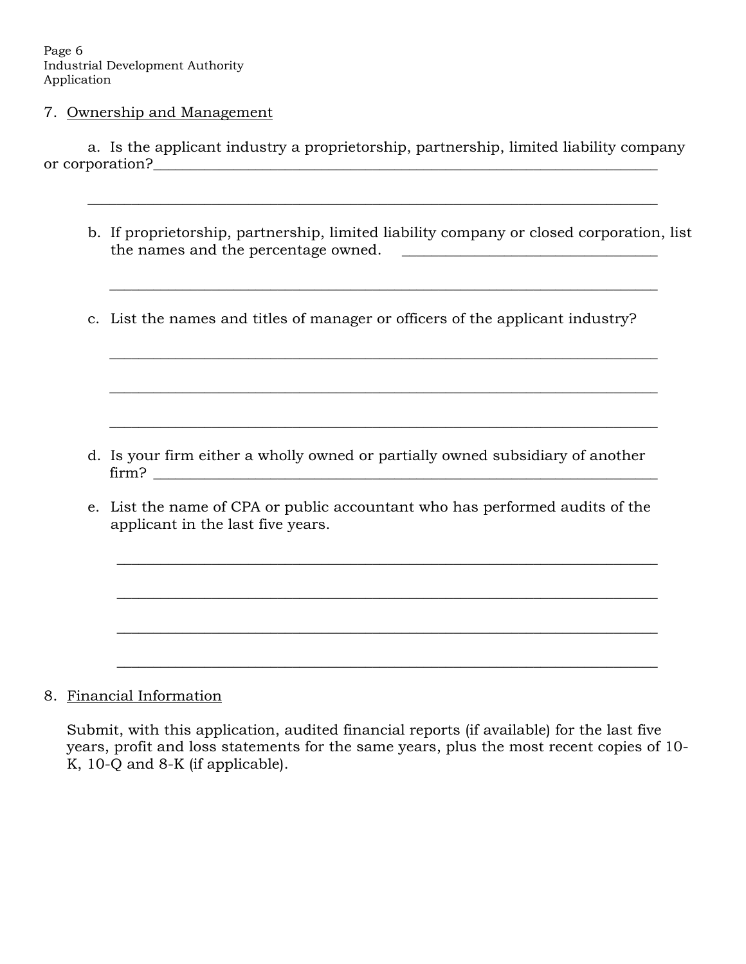7. Ownership and Management

 a. Is the applicant industry a proprietorship, partnership, limited liability company or corporation?

 $\mathcal{L}_\text{max}$  , and the set of the set of the set of the set of the set of the set of the set of the set of the set of the set of the set of the set of the set of the set of the set of the set of the set of the set of the

- b. If proprietorship, partnership, limited liability company or closed corporation, list the names and the percentage owned. \_\_\_\_\_\_\_\_\_\_\_\_\_\_\_\_\_\_\_\_\_\_\_\_\_\_\_\_\_\_\_\_\_\_\_
- c. List the names and titles of manager or officers of the applicant industry?

 $\mathcal{L}_\text{max} = \frac{1}{2} \left( \frac{1}{2} \sum_{i=1}^{n} \frac{1}{2} \mathbf{1} \mathbf{1} \mathbf{1} \mathbf{1} \mathbf{1} \mathbf{1} \mathbf{1} \mathbf{1} \mathbf{1} \mathbf{1} \mathbf{1} \mathbf{1} \mathbf{1} \mathbf{1} \mathbf{1} \mathbf{1} \mathbf{1} \mathbf{1} \mathbf{1} \mathbf{1} \mathbf{1} \mathbf{1} \mathbf{1} \mathbf{1} \mathbf{1} \mathbf{1} \mathbf{1} \mathbf{1} \mathbf{1}$ 

 $\mathcal{L}_\mathcal{L} = \mathcal{L}_\mathcal{L} = \mathcal{L}_\mathcal{L} = \mathcal{L}_\mathcal{L} = \mathcal{L}_\mathcal{L} = \mathcal{L}_\mathcal{L} = \mathcal{L}_\mathcal{L} = \mathcal{L}_\mathcal{L} = \mathcal{L}_\mathcal{L} = \mathcal{L}_\mathcal{L} = \mathcal{L}_\mathcal{L} = \mathcal{L}_\mathcal{L} = \mathcal{L}_\mathcal{L} = \mathcal{L}_\mathcal{L} = \mathcal{L}_\mathcal{L} = \mathcal{L}_\mathcal{L} = \mathcal{L}_\mathcal{L}$ 

 $\mathcal{L}_\mathcal{L} = \mathcal{L}_\mathcal{L} = \mathcal{L}_\mathcal{L} = \mathcal{L}_\mathcal{L} = \mathcal{L}_\mathcal{L} = \mathcal{L}_\mathcal{L} = \mathcal{L}_\mathcal{L} = \mathcal{L}_\mathcal{L} = \mathcal{L}_\mathcal{L} = \mathcal{L}_\mathcal{L} = \mathcal{L}_\mathcal{L} = \mathcal{L}_\mathcal{L} = \mathcal{L}_\mathcal{L} = \mathcal{L}_\mathcal{L} = \mathcal{L}_\mathcal{L} = \mathcal{L}_\mathcal{L} = \mathcal{L}_\mathcal{L}$ 

 $\overline{\phantom{a}}$  ,  $\overline{\phantom{a}}$  ,  $\overline{\phantom{a}}$  ,  $\overline{\phantom{a}}$  ,  $\overline{\phantom{a}}$  ,  $\overline{\phantom{a}}$  ,  $\overline{\phantom{a}}$  ,  $\overline{\phantom{a}}$  ,  $\overline{\phantom{a}}$  ,  $\overline{\phantom{a}}$  ,  $\overline{\phantom{a}}$  ,  $\overline{\phantom{a}}$  ,  $\overline{\phantom{a}}$  ,  $\overline{\phantom{a}}$  ,  $\overline{\phantom{a}}$  ,  $\overline{\phantom{a}}$ 

- d. Is your firm either a wholly owned or partially owned subsidiary of another  $\text{firm?}$
- e. List the name of CPA or public accountant who has performed audits of the applicant in the last five years.

 $\overline{\phantom{a}}$  , and the contract of the contract of the contract of the contract of the contract of the contract of the contract of the contract of the contract of the contract of the contract of the contract of the contrac

 $\overline{\phantom{a}}$  , and the contract of the contract of the contract of the contract of the contract of the contract of the contract of the contract of the contract of the contract of the contract of the contract of the contrac

 $\overline{\phantom{a}}$  , and the contract of the contract of the contract of the contract of the contract of the contract of the contract of the contract of the contract of the contract of the contract of the contract of the contrac

\_\_\_\_\_\_\_\_\_\_\_\_\_\_\_\_\_\_\_\_\_\_\_\_\_\_\_\_\_\_\_\_\_\_\_\_\_\_\_\_\_\_\_\_\_\_\_\_\_\_\_\_\_\_\_\_\_\_\_\_\_\_\_\_\_\_\_\_\_\_\_\_\_\_

8. Financial Information

Submit, with this application, audited financial reports (if available) for the last five years, profit and loss statements for the same years, plus the most recent copies of 10- K, 10-Q and 8-K (if applicable).